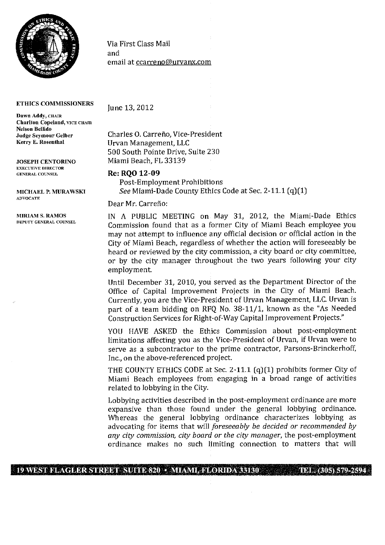

## **ETHICS COMMISSIONERS**

**Dawn Addy,** CHAIR **Chariton Copeland,** VICE CHAIR **Nelson Bellido Judge Seymour Gelber Kerry E. Rosenthal** 

**JOSEPH CENTORINO**  EXECUTIVE DIRECTOR GENERAL COUNSEL

**MICHAEL P. MURAWSICI**  ADVOCATE

Via First Class Mail and email at ccarreno@urvanx.com

June 13, 2012

Charles O. Carreño, Vice-President Urvan Management, LLC 500 South Pointe Drive, Suite 230 Miami Beach, FL 33139

## **Re: RQO 12-09**

Post-Employment Prohibitions *See* Miami-Dade County Ethics Code at Sec. 2-11.1 (q)(1)

Dear Mr. Carreño:

**MIRIAM S. RAMOS IN** A PUBLIC MEETING on May 31, 2012, the Miami-Dade Ethics Commission found that as a former City of Miami Beach employee you may not attempt to influence any official decision or official action in the City of Miami Beach, regardless of whether the action will foreseeably be heard or reviewed by the city commission, a city board or city committee, or by the city manager throughout the two years following your city employment.

> Until December 31, 2010, you served as the Department Director of the Office of Capital Improvement Projects in the City of Miami Beach. Currently, you are the Vice-President of Urvan Management, LLC. Urvan is part of a team bidding on RFQ No. 38-11/1, known as the "As Needed Construction Services for Right-of-Way Capital Improvement Projects."

> YOU HAVE ASKED the Ethics Commission about post-employment limitations affecting you as the Vice-President of Urvan, if Urvan were to serve as a subcontractor to the prime contractor, Parsons-Brinckerhoff, Inc., on the above-referenced project.

> THE COUNTY ETHICS CODE at Sec. 2-11.1 (q) (1) prohibits former City of Miami Beach employees from engaging in a broad range of activities related to lobbying in the City.

> Lobbying activities described in the post-employment ordinance are more expansive than those found under the general lobbying ordinance. Whereas the general lobbying ordinance characterizes lobbying as *advocating for items that will foreseeably be decided or recommended by any city commission, city board or the city manager,* the post-employment ordinance makes no such limiting connection to matters that will

## 19 WEST FLAGLER STREET SUITE 820 • MIAMI, FLORIDA 33130 TEL. (305) 579-2594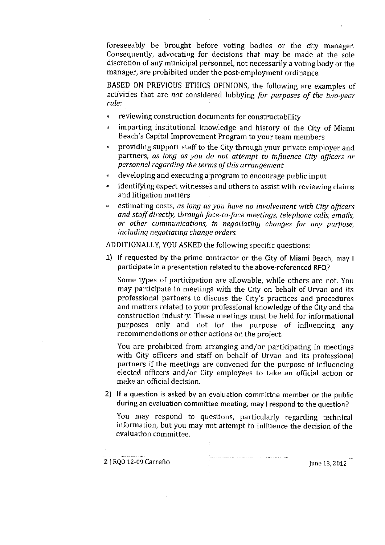foreseeably be brought before voting bodies or the city manager. Consequently, advocating for decisions that may be made at the sole discretion of any municipal personnel, not necessarily a voting body or the manager, are prohibited under the post-employment ordinance.

BASED ON PREVIOUS ETHICS OPINIONS, the following are examples of activities that are *not* considered lobbying *for purposes of the two-year rule:* 

- reviewing construction documents for constructability
- imparting institutional knowledge and history of the City of Miami Beach's Capital Improvement Program to your team members
- providing support staff to the City through your private employer and *partners, as long as you do not attempt to influence City officers or personnel regarding the terms of this arrangement*
- developing and executing a program to encourage public input  $\Phi$
- identifying expert witnesses and others to assist with reviewing claims ø and litigation matters
- *estimating costs, as long as you have no involvement with City officers and staff directly, through face-to-face meetings, telephone calls, emails, or other communications, in negotiating changes for any purpose, including negotiating change orders.*

ADDITIONALLY, YOU ASKED the following specific questions:

1) If requested by the prime contractor or the City of Miami Beach, may I participate in a presentation related to the above-referenced RFQ?

Some types of participation are allowable, while others are not You may participate in meetings with the City on behalf of Urvan and its professional partners to discuss the City's practices and procedures and matters related to your professional knowledge of the City and the construction industry. These meetings must be held for informational purposes only and not for the purpose of influencing any recommendations or other actions on the project

You are prohibited from arranging and/or participating in meetings with City officers and staff on behalf of Urvan and its professional partners if the meetings are convened for the purpose of influencing elected officers and/or City employees to take an official action or make an official decision.

2) If a question is asked by an evaluation committee member or the public during an evaluation committee meeting, may I respond to the question?

You may respond to questions, particularly regarding technical information) but you may not attempt to influence the decision of the evaluation committee.

2 1 RQO 12-09 Carreno June 13, 2012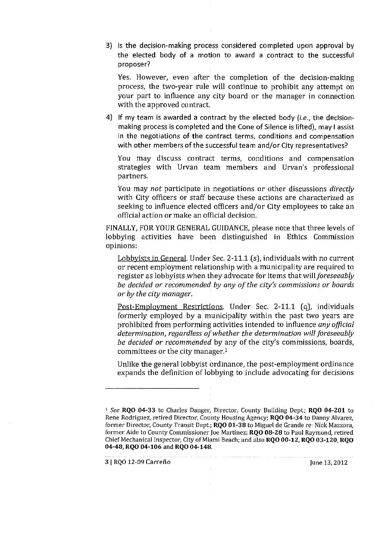3) Is the decision-making process considered completed upon approval by the elected body of a motion to award a contract to the successful proposer?

Yes. However, even after the completion of the decision-making process, the two-year rule will continue to prohibit any attempt on your part to influence any city board or the manager in connection with the approved contract.

4) If my team is awarded a contract by the elected body *(i.e.,* the decisionmaking process is completed and the Cone of Silence is lifted), may I assist in the negotiations of the contract terms, conditions and compensation with other members of the successful team and/or City representatives?

You may discuss contract terms, conditions and compensation strategies with Urvan team members and Urvan's professional partners.

You may *not* participate in negotiations or other discussions *directly*  with City officers or staff because these actions are characterized as seeking to influence elected officers and/or City employees to take an official action or make an official decision.

FINALLY, FOR YOUR GENERAL GUIDANCE, please note that three levels of lobbying activities have been distinguished in Ethics Commission opinions:

Lobbyists in General. Under Sec. 2-11.1 (s), individuals with no current or recent employment relationship with a municipality are required to register as lobbyists when they advocate for items that *willforeseeably be decided or recommended by any of the city's commissions or boards or by the city manager.* 

Post-Employment Restrictions. Under Sec. 2-11.1 (q), individuals formerly employed by a municipality within the past two years are prohibited from performing activities intended to influence *any official determination, regardless of whether the determination will foreseeably be decided or recommended* by any of the city's commissions, boards, committees or the city manager.<sup>1</sup>

Unlike the general lobbyist ordinance, the post-employment ordinance expands the definition of lobbying to include advocating for decisions

3 1 RQO 12-09 Carreflo June 13, 2012

<sup>1</sup> *See* RQO 04-33 to Charles Danger, Director, County Building Dept.; RQO 04-201 to Rene Rodriguez, retired Director, County Housing Agency; RQO 04-34 to Danny Alvarez, former Director, County Transit Dept.; RQO 01-38 to Miguel de Grande re: Nick Mazzora, former Aide to County Commissioner Joe Martinez; RQO 08-28 to Paul Raymond, *retired*  Chief Mechanical Inspector, City of Miami Beach; and also RQO 00-12, RQO 03-120, RQO 04-48, RQO 04-106 and RQO 04-148.